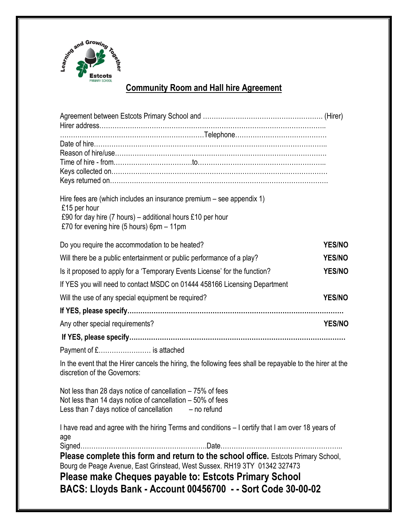

# **Community Room and Hall hire Agreement**

| Hire fees are (which includes an insurance premium $-$ see appendix 1)<br>£15 per hour<br>£90 for day hire (7 hours) – additional hours £10 per hour                                                                      |               |
|---------------------------------------------------------------------------------------------------------------------------------------------------------------------------------------------------------------------------|---------------|
| £70 for evening hire (5 hours) $6pm - 11pm$                                                                                                                                                                               |               |
| Do you require the accommodation to be heated?                                                                                                                                                                            | <b>YES/NO</b> |
| Will there be a public entertainment or public performance of a play?                                                                                                                                                     | <b>YES/NO</b> |
| Is it proposed to apply for a 'Temporary Events License' for the function?                                                                                                                                                | <b>YES/NO</b> |
| If YES you will need to contact MSDC on 01444 458166 Licensing Department                                                                                                                                                 |               |
| Will the use of any special equipment be required?                                                                                                                                                                        | <b>YES/NO</b> |
|                                                                                                                                                                                                                           |               |
| Any other special requirements?                                                                                                                                                                                           | <b>YES/NO</b> |
|                                                                                                                                                                                                                           |               |
| Payment of £ is attached                                                                                                                                                                                                  |               |
| In the event that the Hirer cancels the hiring, the following fees shall be repayable to the hirer at the<br>discretion of the Governors:                                                                                 |               |
| Not less than 28 days notice of cancellation $-75%$ of fees<br>Not less than 14 days notice of cancellation – 50% of fees<br>Less than 7 days notice of cancellation $-$ no refund                                        |               |
| I have read and agree with the hiring Terms and conditions - I certify that I am over 18 years of<br>age                                                                                                                  |               |
| Please complete this form and return to the school office. Estcots Primary School,<br>Bourg de Peage Avenue, East Grinstead, West Sussex. RH19 3TY 01342 327473<br>Please make Cheques payable to: Estcots Primary School |               |
| BACS: Lloyds Bank - Account 00456700 - - Sort Code 30-00-02                                                                                                                                                               |               |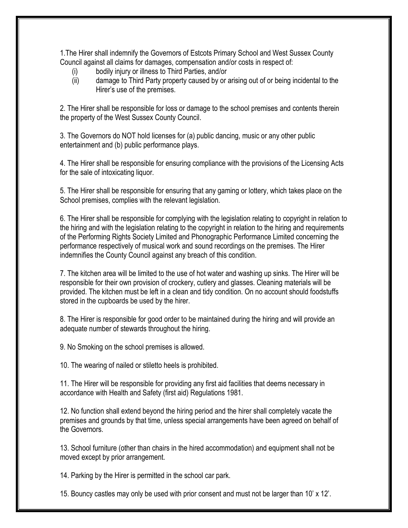1.The Hirer shall indemnify the Governors of Estcots Primary School and West Sussex County Council against all claims for damages, compensation and/or costs in respect of:

- (i) bodily injury or illness to Third Parties, and/or
- (ii) damage to Third Party property caused by or arising out of or being incidental to the Hirer's use of the premises.

2. The Hirer shall be responsible for loss or damage to the school premises and contents therein the property of the West Sussex County Council.

3. The Governors do NOT hold licenses for (a) public dancing, music or any other public entertainment and (b) public performance plays.

4. The Hirer shall be responsible for ensuring compliance with the provisions of the Licensing Acts for the sale of intoxicating liquor.

5. The Hirer shall be responsible for ensuring that any gaming or lottery, which takes place on the School premises, complies with the relevant legislation.

6. The Hirer shall be responsible for complying with the legislation relating to copyright in relation to the hiring and with the legislation relating to the copyright in relation to the hiring and requirements of the Performing Rights Society Limited and Phonographic Performance Limited concerning the performance respectively of musical work and sound recordings on the premises. The Hirer indemnifies the County Council against any breach of this condition.

7. The kitchen area will be limited to the use of hot water and washing up sinks. The Hirer will be responsible for their own provision of crockery, cutlery and glasses. Cleaning materials will be provided. The kitchen must be left in a clean and tidy condition. On no account should foodstuffs stored in the cupboards be used by the hirer.

8. The Hirer is responsible for good order to be maintained during the hiring and will provide an adequate number of stewards throughout the hiring.

9. No Smoking on the school premises is allowed.

10. The wearing of nailed or stiletto heels is prohibited.

11. The Hirer will be responsible for providing any first aid facilities that deems necessary in accordance with Health and Safety (first aid) Regulations 1981.

12. No function shall extend beyond the hiring period and the hirer shall completely vacate the premises and grounds by that time, unless special arrangements have been agreed on behalf of the Governors.

13. School furniture (other than chairs in the hired accommodation) and equipment shall not be moved except by prior arrangement.

14. Parking by the Hirer is permitted in the school car park.

15. Bouncy castles may only be used with prior consent and must not be larger than 10' x 12'.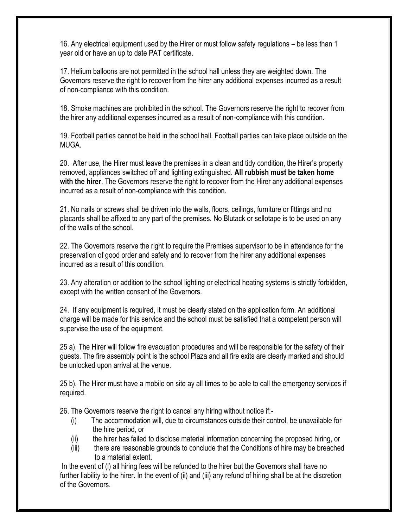16. Any electrical equipment used by the Hirer or must follow safety regulations – be less than 1 year old or have an up to date PAT certificate.

17. Helium balloons are not permitted in the school hall unless they are weighted down. The Governors reserve the right to recover from the hirer any additional expenses incurred as a result of non-compliance with this condition.

18. Smoke machines are prohibited in the school. The Governors reserve the right to recover from the hirer any additional expenses incurred as a result of non-compliance with this condition.

19. Football parties cannot be held in the school hall. Football parties can take place outside on the MUGA.

20. After use, the Hirer must leave the premises in a clean and tidy condition, the Hirer's property removed, appliances switched off and lighting extinguished. **All rubbish must be taken home with the hirer**. The Governors reserve the right to recover from the Hirer any additional expenses incurred as a result of non-compliance with this condition.

21. No nails or screws shall be driven into the walls, floors, ceilings, furniture or fittings and no placards shall be affixed to any part of the premises. No Blutack or sellotape is to be used on any of the walls of the school.

22. The Governors reserve the right to require the Premises supervisor to be in attendance for the preservation of good order and safety and to recover from the hirer any additional expenses incurred as a result of this condition.

23. Any alteration or addition to the school lighting or electrical heating systems is strictly forbidden, except with the written consent of the Governors.

24. If any equipment is required, it must be clearly stated on the application form. An additional charge will be made for this service and the school must be satisfied that a competent person will supervise the use of the equipment.

25 a). The Hirer will follow fire evacuation procedures and will be responsible for the safety of their guests. The fire assembly point is the school Plaza and all fire exits are clearly marked and should be unlocked upon arrival at the venue.

25 b). The Hirer must have a mobile on site ay all times to be able to call the emergency services if required.

26. The Governors reserve the right to cancel any hiring without notice if:-

- (i) The accommodation will, due to circumstances outside their control, be unavailable for the hire period, or
- (ii) the hirer has failed to disclose material information concerning the proposed hiring, or
- (iii) there are reasonable grounds to conclude that the Conditions of hire may be breached to a material extent.

In the event of (i) all hiring fees will be refunded to the hirer but the Governors shall have no further liability to the hirer. In the event of (ii) and (iii) any refund of hiring shall be at the discretion of the Governors.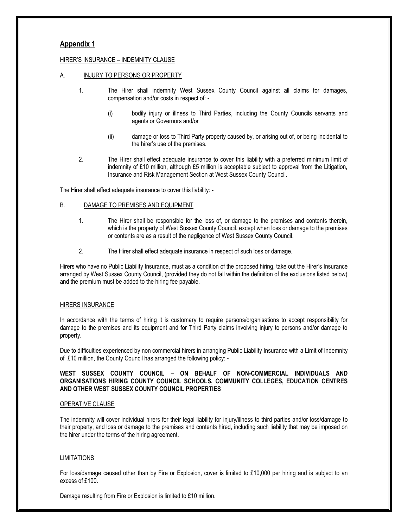# **Appendix 1**

#### HIRER'S INSURANCE – INDEMNITY CLAUSE

#### A. INJURY TO PERSONS OR PROPERTY

- 1. The Hirer shall indemnify West Sussex County Council against all claims for damages, compensation and/or costs in respect of: -
	- (i) bodily injury or illness to Third Parties, including the County Councils servants and agents or Governors and/or
	- (ii) damage or loss to Third Party property caused by, or arising out of, or being incidental to the hirer's use of the premises.
- 2. The Hirer shall effect adequate insurance to cover this liability with a preferred minimum limit of indemnity of £10 million, although £5 million is acceptable subject to approval from the Litigation, Insurance and Risk Management Section at West Sussex County Council.

The Hirer shall effect adequate insurance to cover this liability: -

### B. DAMAGE TO PREMISES AND EQUIPMENT

- 1. The Hirer shall be responsible for the loss of, or damage to the premises and contents therein, which is the property of West Sussex County Council, except when loss or damage to the premises or contents are as a result of the negligence of West Sussex County Council.
- 2. The Hirer shall effect adequate insurance in respect of such loss or damage.

Hirers who have no Public Liability Insurance, must as a condition of the proposed hiring, take out the Hirer's Insurance arranged by West Sussex County Council, (provided they do not fall within the definition of the exclusions listed below) and the premium must be added to the hiring fee payable.

#### HIRERS INSURANCE

In accordance with the terms of hiring it is customary to require persons/organisations to accept responsibility for damage to the premises and its equipment and for Third Party claims involving injury to persons and/or damage to property.

Due to difficulties experienced by non commercial hirers in arranging Public Liability Insurance with a Limit of Indemnity of £10 million, the County Council has arranged the following policy: -

### **WEST SUSSEX COUNTY COUNCIL – ON BEHALF OF NON-COMMERCIAL INDIVIDUALS AND ORGANISATIONS HIRING COUNTY COUNCIL SCHOOLS, COMMUNITY COLLEGES, EDUCATION CENTRES AND OTHER WEST SUSSEX COUNTY COUNCIL PROPERTIES**

#### OPERATIVE CLAUSE

The indemnity will cover individual hirers for their legal liability for injury/illness to third parties and/or loss/damage to their property, and loss or damage to the premises and contents hired, including such liability that may be imposed on the hirer under the terms of the hiring agreement.

#### LIMITATIONS

For loss/damage caused other than by Fire or Explosion, cover is limited to £10,000 per hiring and is subject to an excess of £100.

Damage resulting from Fire or Explosion is limited to £10 million.